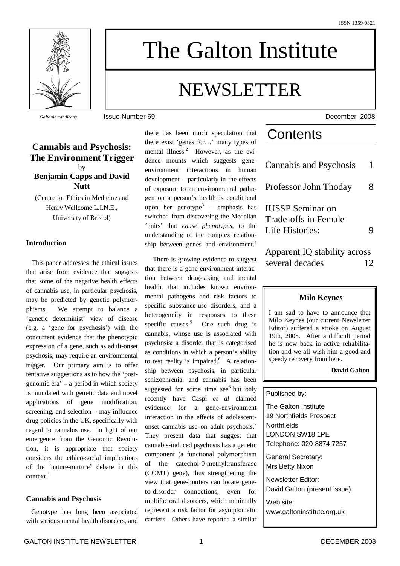

The Galton Institute

# NEWSLETTER

# **Cannabis and Psychosis: The Environment Trigger** by **Benjamin Capps and David Nutt**

(Centre for Ethics in Medicine and Henry Wellcome L.I.N.E., University of Bristol)

# **Introduction**

This paper addresses the ethical issues that arise from evidence that suggests that some of the negative health effects of cannabis use, in particular psychosis, may be predicted by genetic polymorphisms. We attempt to balance a 'genetic determinist' view of disease (e.g. a 'gene for psychosis') with the concurrent evidence that the phenotypic expression of a gene, such as adult-onset psychosis, may require an environmental trigger. Our primary aim is to offer tentative suggestions as to how the 'postgenomic era' – a period in which society is inundated with genetic data and novel applications of gene modification, screening, and selection – may influence drug policies in the UK, specifically with regard to cannabis use. In light of our emergence from the Genomic Revolution, it is appropriate that society considers the ethico-social implications of the 'nature-nurture' debate in this context. 1

#### **Cannabis and Psychosis**

Genotype has long been associated with various mental health disorders, and there has been much speculation that there exist 'genes for…' many types of mental illness. <sup>2</sup> However, as the evidence mounts which suggests geneenvironment interactions in human development – particularly in the effects of exposure to an environmental pathogen on a person's health is conditional upon her genotype 3 – emphasis has switched from discovering the Medelian 'units' that *cause phenotypes*, to the understanding of the complex relationship between genes and environment. 4

There is growing evidence to suggest that there is a gene-environment interaction between drug-taking and mental health, that includes known environmental pathogens and risk factors to specific substance-use disorders, and a heterogeneity in responses to these specific causes.<sup>5</sup> <sup>5</sup> One such drug is cannabis, whose use is associated with psychosis: a disorder that is categorised as conditions in which a person's ability to test reality is impaired.<sup>6</sup> A relationship between psychosis, in particular schizophrenia, and cannabis has been suggested for some time see<sup>6</sup> but only recently have Caspi *et al* claimed evidence for a gene-environment interaction in the effects of adolescentonset cannabis use on adult psychosis.<sup>7</sup> They present data that suggest that cannabis-induced psychosis has a genetic component (a functional polymorphism of the catechol-0-methyltransferase (COMT) gene), thus strengthening the view that gene-hunters can locate geneto-disorder connections, even for multifactoral disorders, which minimally represent a risk factor for asymptomatic carriers. Others have reported a similar

*Galtonia candicans* **ISSUE Number 69 December 2008 December 2008** 

# **Contents**

| Cannabis and Psychosis                                             |   |
|--------------------------------------------------------------------|---|
| Professor John Thoday                                              | 8 |
| <b>IUSSP</b> Seminar on<br>Trade-offs in Female<br>Life Histories: |   |
| Apparent IQ stability across                                       |   |
| several decades                                                    |   |

#### **Milo Keynes**

I am sad to have to announce that Milo Keynes (our current Newsletter Editor) suffered a stroke on August 19th, 2008. After a difficult period he is now back in active rehabilitation and we all wish him a good and speedy recovery from here.

#### **David Galton**

#### Published by:

The Galton Institute 19 Northfields Prospect **Northfields** LONDON SW18 1PE Telephone: 020-8874 7257

General Secretary: Mrs Betty Nixon

Newsletter Editor: David Galton (present issue)

Web site: www.galtoninstitute.org.uk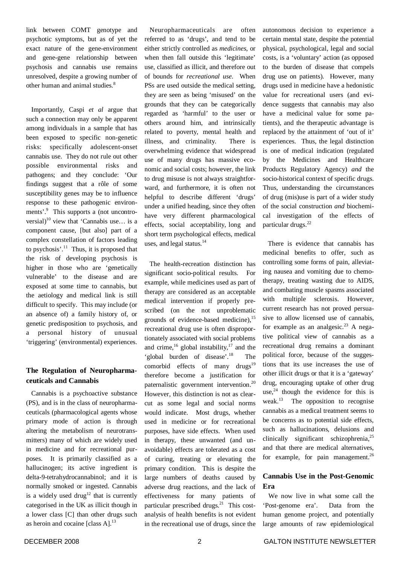link between COMT genotype and psychotic symptoms, but as of yet the exact nature of the gene-environment and gene-gene relationship between psychosis and cannabis use remains unresolved, despite a growing number of other human and animal studies. 8

Importantly, Caspi *et al* argue that such a connection may only be apparent among individuals in a sample that has been exposed to specific non-genetic risks: specifically adolescent-onset cannabis use. They do not rule out other possible environmental risks and pathogens; and they conclude: 'Our findings suggest that a rôle of some susceptibility genes may be to influence response to these pathogenic environments'.<sup>9</sup> This supports a (not uncontroversial)<sup>10</sup> view that 'Cannabis use... is a component cause, [but also] part of a complex constellation of factors leading to psychosis'. <sup>11</sup> Thus, it is proposed that the risk of developing psychosis is higher in those who are 'genetically vulnerable' to the disease and are exposed at some time to cannabis, but the aetiology and medical link is still difficult to specify. This may include (or an absence of) a family history of, or genetic predisposition to psychosis, and a personal history of unusual 'triggering' (environmental) experiences.

# **The Regulation of Neuropharmaceuticals and Cannabis**

Cannabis is a psychoactive substance (PS), and is in the class of neuropharmaceuticals (pharmacological agents whose primary mode of action is through altering the metabolism of neurotransmitters) many of which are widely used in medicine and for recreational purposes. It is primarily classified as a hallucinogen; its active ingredient is delta-9-tetrahydrocannabinol; and it is normally smoked or ingested. Cannabis is a widely used drug<sup>12</sup> that is currently categorised in the UK as illicit though in a lower class [C] than other drugs such as heroin and cocaine [class A].<sup>13</sup>

Neuropharmaceuticals are often referred to as 'drugs', and tend to be either strictly controlled as *medicines*, or when then fall outside this 'legitimate' use, classified as illicit, and therefore out of bounds for *recreational use*. When PSs are used outside the medical setting, they are seen as being 'misused' on the grounds that they can be categorically regarded as 'harmful' to the user or others around him, and intrinsically related to poverty, mental health and illness, and criminality. There is overwhelming evidence that widespread use of many drugs has massive economic and social costs; however, the link to drug misuse is not always straightforward, and furthermore, it is often not helpful to describe different 'drugs' under a unified heading, since they often have very different pharmacological effects, social acceptability, long and short term psychological effects, medical uses, and legal status. 14

The health-recreation distinction has significant socio-political results. For example, while medicines used as part of therapy are considered as an acceptable medical intervention if properly prescribed (on the not unproblematic grounds of evidence-based medicine), 15 recreational drug use is often disproportionately associated with social problems and crime,  $^{16}$  global instability,  $^{17}$  and the 'global burden of disease'.<sup>18</sup> The comorbid effects of many drugs<sup>19</sup> therefore become a justification for paternalistic government intervention.<sup>20</sup> However, this distinction is not as clearcut as some legal and social norms would indicate. Most drugs, whether used in medicine or for recreational purposes, have side effects. When used in therapy, these unwanted (and unavoidable) effects are tolerated as a cost of curing, treating or elevating the primary condition. This is despite the large numbers of deaths caused by adverse drug reactions, and the lack of effectiveness for many patients of particular prescribed drugs.<sup>21</sup> This costanalysis of health benefits is not evident in the recreational use of drugs, since the

autonomous decision to experience a certain mental state, despite the potential physical, psychological, legal and social costs, is a 'voluntary' action (as opposed to the burden of disease that compels drug use on patients). However, many drugs used in medicine have a hedonistic value for recreational users (and evidence suggests that cannabis may also have a medicinal value for some patients), and the therapeutic advantage is replaced by the attainment of 'out of it' experiences. Thus, the legal distinction is one of medical indication (regulated by the Medicines and Healthcare Products Regulatory Agency) *and* the socio-historical context of specific drugs. Thus, understanding the circumstances of drug (mis)use is part of a wider study of the social construction *and* biochemical investigation of the effects of particular drugs. 22

There is evidence that cannabis has medicinal benefits to offer, such as controlling some forms of pain, alleviating nausea and vomiting due to chemotherapy, treating wasting due to AIDS, and combating muscle spasms associated with multiple sclerosis. However, current research has not proved persuasive to allow licensed use of cannabis, for example as an analgesic. <sup>23</sup> A negative political view of cannabis as a recreational drug remains a dominant political force, because of the suggestions that its use increases the use of other illicit drugs or that it is a 'gateway' drug, encouraging uptake of other drug use,  $24$  though the evidence for this is weak.<sup>13</sup> The opposition to recognise cannabis as a medical treatment seems to be concerns as to potential side effects, such as hallucinations, delusions and clinically significant schizophrenia, 25 and that there are medical alternatives, for example, for pain management.<sup>26</sup>

# **Cannabis Use in the Post-Genomic Era**

We now live in what some call the 'Post-genome era'. Data from the human genome project, and potentially large amounts of raw epidemiological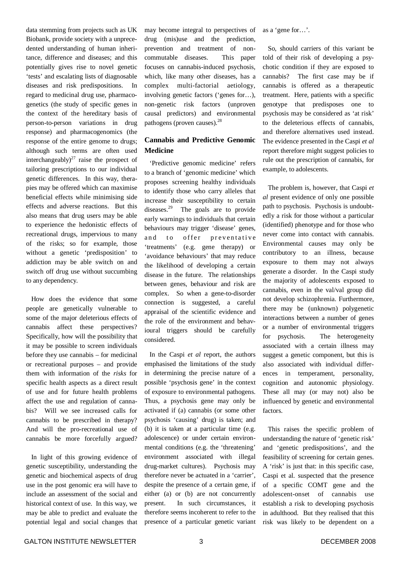data stemming from projects such as UK Biobank, provide society with a unprecedented understanding of human inheritance, difference and diseases; and this potentially gives rise to novel genetic 'tests' and escalating lists of diagnosable diseases and risk predispositions. In regard to medicinal drug use, pharmacogenetics (the study of specific genes in the context of the hereditary basis of person-to-person variations in drug response) and pharmacogenomics (the response of the entire genome to drugs; although such terms are often used interchangeably) $^{27}$  raise the prospect of tailoring prescriptions to our individual genetic differences. In this way, therapies may be offered which can maximise beneficial effects while minimising side effects and adverse reactions. But this also means that drug users may be able to experience the hedonistic effects of recreational drugs, impervious to many of the risks; so for example, those without a genetic 'predisposition' to addiction may be able switch on and switch off drug use without succumbing to any dependency.

How does the evidence that some people are genetically vulnerable to some of the major deleterious effects of cannabis affect these perspectives? Specifically, how will the possibility that it may be possible to screen individuals before they use cannabis – for medicinal or recreational purposes – and provide them with information of the *risks* for specific health aspects as a direct result of use and for future health problems affect the use and regulation of cannabis? Will we see increased calls for cannabis to be prescribed in therapy? And will the pro-recreational use of cannabis be more forcefully argued?

In light of this growing evidence of genetic susceptibility, understanding the genetic and biochemical aspects of drug use in the post genomic era will have to include an assessment of the social and historical context of use. In this way, we may be able to predict and evaluate the potential legal and social changes that may become integral to perspectives of drug (mis)use and the prediction, prevention and treatment of noncommutable diseases. This paper focuses on cannabis-induced psychosis, which, like many other diseases, has a complex multi-factorial aetiology, involving genetic factors ('genes for…), non-genetic risk factors (unproven causal predictors) and environmental pathogens (proven causes).<sup>28</sup>

# **Cannabis and Predictive Genomic Medicine**

'Predictive genomic medicine' refers to a branch of 'genomic medicine' which proposes screening healthy individuals to identify those who carry alleles that increase their susceptibility to certain diseases.<sup>29</sup> The goals are to provide early warnings to individuals that certain behaviours may trigger 'disease' genes, and to offer preventative 'treatments' (e.g. gene therapy) or 'avoidance behaviours' that may reduce the likelihood of developing a certain disease in the future. The relationships between genes, behaviour and risk are complex. So when a gene-to-disorder connection is suggested, a careful appraisal of the scientific evidence and the role of the environment and behavioural triggers should be carefully considered.

In the Caspi *et al* report, the authors emphasised the limitations of the study in determining the precise nature of a possible 'psychosis gene' in the context of exposure to environmental pathogens. Thus, a psychosis gene may only be activated if (a) cannabis (or some other psychosis 'causing' drug) is taken; and (b) it is taken at a particular time (e.g. adolescence) or under certain environmental conditions (e.g. the 'threatening' environment associated with illegal drug-market cultures). Psychosis may therefore never be actuated in a 'carrier', despite the presence of a certain gene, if either (a) or (b) are not concurrently present. In such circumstances, it therefore seems incoherent to refer to the presence of a particular genetic variant

as a 'gene for…'.

So, should carriers of this variant be told of their risk of developing a psychotic condition if they are exposed to cannabis? The first case may be if cannabis is offered as a therapeutic treatment. Here, patients with a specific genotype that predisposes one to psychosis may be considered as 'at risk' to the deleterious effects of cannabis, and therefore alternatives used instead. The evidence presented in the Caspi *et al* report therefore might suggest policies to rule out the prescription of cannabis, for example, to adolescents.

The problem is, however, that Caspi *et al* present evidence of only one possible path to psychosis. Psychosis is undoubtedly a risk for those without a particular (identified) phenotype and for those who never come into contact with cannabis. Environmental causes may only be contributory to an illness, because exposure to them may not always generate a disorder. In the Caspi study the majority of adolescents exposed to cannabis, even in the val/val group did not develop schizophrenia. Furthermore, there may be (unknown) polygenetic interactions between a number of genes or a number of environmental triggers for psychosis. The heterogeneity associated with a certain illness may suggest a genetic component, but this is also associated with individual differences in temperament, personality, cognition and autonomic physiology. These all may (or may not) also be influenced by genetic and environmental factors.

This raises the specific problem of understanding the nature of 'genetic risk' and 'genetic predispositions', and the feasibility of screening for certain genes. A 'risk' is just that: in this specific case, Caspi et al. suspected that the presence of a specific COMT gene and the adolescent-onset of cannabis use establish a risk to developing psychosis in adulthood. But they realised that this risk was likely to be dependent on a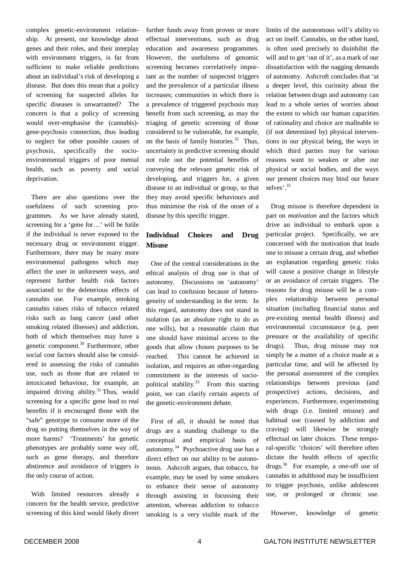complex genetic-environment relationship. At present, our knowledge about genes and their roles, and their interplay with environment triggers, is far from sufficient to make reliable predictions about an individual's risk of developing a disease. But does this mean that a policy of screening for suspected alleles for specific diseases is unwarranted? The concern is that a policy of screening would over-emphasise the (cannabis) gene-psychosis connection, thus leading to neglect for other possible causes of psychosis, specifically the socioenvironmental triggers of poor mental health, such as poverty and social deprivation.

There are also questions over the usefulness of such screening programmes. As we have already stated, screening for a 'gene for…' will be futile if the individual is never exposed to the necessary drug or environment trigger. Furthermore, there may be many more environmental pathogens which may affect the user in unforeseen ways, and represent further health risk factors associated to the deleterious effects of cannabis use. For example, smoking cannabis raises risks of tobacco related risks such as lung cancer (and other smoking related illnesses) and addiction, both of which themselves may have a genetic component.<sup>30</sup> Furthermore, other social cost factors should also be considered in assessing the risks of cannabis use, such as those that are related to intoxicated behaviour, for example, an impaired driving ability.<sup>31</sup> Thus, would screening for a specific gene lead to real benefits if it encouraged those with the "safe" genotype to consume more of the drug so putting themselves in the way of more harms? 'Treatments' for genetic phenotypes are probably some way off, such as gene therapy, and therefore abstinence and avoidance of triggers is the only course of action.

With limited resources already a concern for the health service, predictive screening of this kind would likely divert

further funds away from proven or more effectual interventions, such as drug education and awareness programmes. However, the usefulness of genomic screening becomes correlatively important as the number of suspected triggers and the prevalence of a particular illness increases; communities in which there is a prevalence of triggered psychosis may benefit from such screening, as may the triaging of genetic screening of those considered to be vulnerable, for example, on the basis of family histories. <sup>32</sup> Thus, uncertainty in predictive screening should not rule out the potential benefits of conveying the relevant genetic risk of developing, and triggers for, a given disease to an individual or group, so that they may avoid specific behaviours and thus minimise the risk of the onset of a disease by this specific trigger.

# **Individual Choices and Drug Misuse**

One of the central considerations in the ethical analysis of drug use is that of autonomy. Discussions on 'autonomy' can lead to confusion because of heterogeneity of understanding in the term. In this regard, autonomy does not stand in isolation (as an absolute right to do as one wills), but a reasonable claim that one should have minimal access to the goods that allow chosen purposes to be reached. This cannot be achieved in isolation, and requires an other-regarding commitment in the interests of sociopolitical stability.<sup>33</sup> From this starting point, we can clarify certain aspects of the genetic-environment debate.

First of all, it should be noted that drugs are a standing challenge to the conceptual and empirical basis of autonomy. 34 Psychoactive drug use has a direct effect on our ability to be autonomous. Ashcroft argues, that tobacco, for example, may be used by some smokers to enhance their sense of autonomy through assisting in focussing their attention, whereas addiction to tobacco smoking is a very visible mark of the

limits of the autonomous will's ability to act on itself. Cannabis, on the other hand, is often used precisely to disinhibit the will and to get 'out of it', as a mark of our dissatisfaction with the nagging demands of autonomy. Ashcroft concludes that 'at a deeper level, this curiosity about the relation between drugs and autonomy can lead to a whole series of worries about the extent to which our human capacities of rationality and choice are malleable to (if not determined by) physical interventions in our physical being, the ways in which third parties may for various reasons want to weaken or alter our physical or social bodies, and the ways our present choices may bind our future selves'. 35

Drug misuse is therefore dependent in part on *motivation* and the factors which drive an individual to embark upon a particular project. Specifically, we are concerned with the motivation that leads one to misuse a certain drug, and whether an explanation regarding genetic risks will cause a positive change in lifestyle or an avoidance of certain triggers. The reasons for drug misuse will be a complex relationship between personal situation (including financial status and pre-existing mental health illness) and environmental circumstance (e.g. peer pressure or the availability of specific drugs). Thus, drug misuse may not simply be a matter of a choice made at a particular time, and will be affected by the personal assessment of the complex relationships between previous (and prospective) actions, decisions, and experiences. Furthermore, experimenting with drugs (i.e. limited misuse) and habitual use (caused by addiction and craving) will likewise be strongly effectual on later choices. These temporal-specific 'choices' will therefore often dictate the health effects of specific drugs. 36 For example, a one-off use of cannabis in adulthood may be insufficient to trigger psychosis, unlike adolescent use, or prolonged or chronic use.

However, knowledge of genetic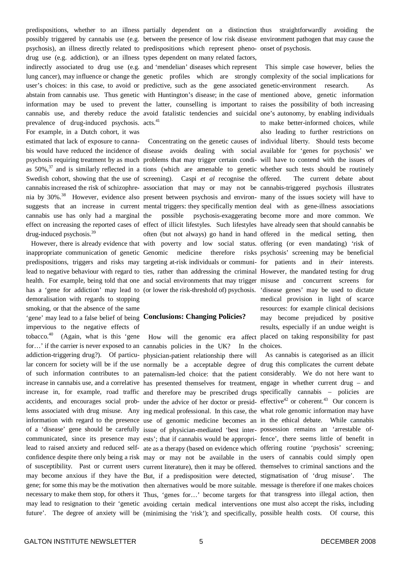drug use (e.g. addiction), or an illness types dependent on many related factors, cannabis use, and thereby reduce the avoid fatalistic tendencies and suicidal one's autonomy, by enabling individuals prevalence of drug-induced psychosis. acts.<sup>41</sup> For example, in a Dutch cohort, it was Swedish cohort, showing that the use of screening). Caspi *et al* recognise the cannabis use has only had a marginal drug-induced psychosis. 39

has a 'gene for addiction' may lead to (or lower the risk-threshold of) psychosis. 'disease genes' may be used to dictate demoralisation with regards to stopping smoking, or that the absence of the same 'gene' may lead to a false belief of being **Conclusions: Changing Policies?** impervious to the negative effects of tobacco.<sup>40</sup> (Again, what is this 'gene How will the genomic era affect placed on taking responsibility for past

psychosis), an illness directly related to predispositions which represent pheno-onset of psychosis. indirectly associated to drug use (e.g. and 'mendelian' diseases which represent This simple case however, belies the lung cancer), may influence or change the genetic profiles which are strongly complexity of the social implications for user's choices: in this case, to avoid or predictive, such as the gene associated genetic-environment research. As abstain from cannabis use. Thus genetic with Huntington's disease; in the case of mentioned above, genetic information information may be used to prevent the latter, counselling is important to raises the possibility of both increasing

estimated that lack of exposure to canna-Concentrating on the genetic causes of individual liberty. Should tests become bis would have reduced the incidence of disease avoids dealing with social available for 'genes for psychosis' we psychosis requiring treatment by as much problems that may trigger certain condi-will have to contend with the issues of as  $50\%$ ,<sup>37</sup> and is similarly reflected in a tions (which are amenable to genetic whether such tests should be routinely cannabis increased the risk of schizophre-association that may or may not be cannabis-triggered psychosis illustrates nia by 30%.<sup>38</sup> However, evidence also present between psychosis and environ- many of the issues society will have to suggests that an increase in current mental triggers: they specifically mention deal with as gene-illness associations effect on increasing the reported cases of effect of illicit lifestyles. Such lifestyles have already seen that should cannabis be However, there is already evidence that with poverty and low social status. offering (or even mandating) 'risk of inappropriate communication of genetic Genomic medicine therefore risks psychosis' screening may be beneficial predispositions, triggers and risks may targeting at-risk individuals or communi-for patients and in *their* interests. lead to negative behaviour with regard to ties, rather than addressing the criminal However, the mandated testing for drug health. For example, being told that one and social environments that may trigger misuse and concurrent screens for the possible psychosis-exaggerating become more and more common. We often (but not always) go hand in hand offered in the medical setting, then

for...' if the carrier is never exposed to an cannabis policies in the UK? In the choices. addiction-triggering drug?). Of particu-physician-patient relationship there will As cannabis is categorised as an illicit lar concern for society will be if the use normally be a acceptable degree of drug this complicates the current debate of such information contributes to an paternalism-led choice: that the patient considerably. We do not here want to increase in cannabis use, and a correlative has presented themselves for treatment, engage in whether current drug – and increase in, for example, road traffic and therefore may be prescribed drugs specifically cannabis – policies are accidents, and encourages social prob- under the advice of her doctor or presid-effective<sup>42</sup> or coherent.<sup>43</sup> Our concern is lems associated with drug misuse. Any ing medical professional. In this case, the what role genomic information may have information with regard to the presence use of genomic medicine becomes an in the ethical debate. While cannabis of a 'disease' gene should be carefully issue of physician-mediated 'best inter-possession remains an 'arrestable ofcommunicated, since its presence may ests'; that if cannabis would be appropri-fence', there seems little of benefit in lead to raised anxiety and reduced self-ate as a therapy (based on evidence which offering routine 'psychosis' screening; confidence despite there only being a risk may or may not be available in the users of cannabis could simply open of susceptibility. Past or current users current literature), then it may be offered. themselves to criminal sanctions and the may become anxious if they have the But, if a predisposition were detected, stigmatisation of 'drug misuse'. The gene; for some this may be the motivation then alternatives would be more suitable. message is therefore if one makes choices necessary to make them stop, for others it Thus, 'genes for…' become targets for that transgress into illegal action, then may lead to resignation to their 'genetic avoiding certain medical interventions one must also accept the risks, including future'. The degree of anxiety will be (minimising the 'risk'); and specifically, possible health costs. Of course, this

predispositions, whether to an illness partially dependent on a distinction thus straightforwardly avoiding the possibly triggered by cannabis use (e.g. between the presence of low risk disease environment pathogen that may cause the

> to make better-informed choices, while also leading to further restrictions on The current debate about medical provision in light of scarce resources: for example clinical decisions may become prejudiced by positive results, especially if an undue weight is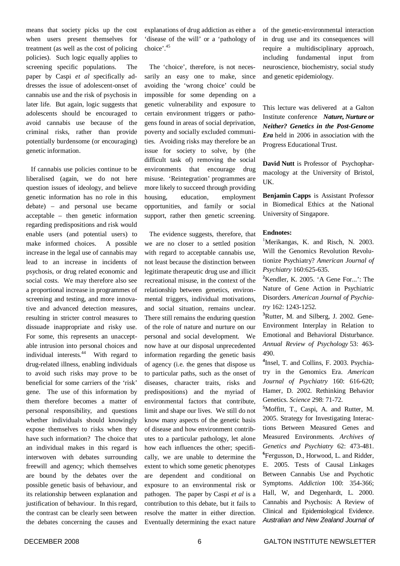means that society picks up the cost when users present themselves for treatment (as well as the cost of policing policies). Such logic equally applies to screening specific populations. The paper by Caspi *et al* specifically addresses the issue of adolescent-onset of cannabis use and the risk of psychosis in later life. But again, logic suggests that adolescents should be encouraged to avoid cannabis use because of the criminal risks, rather than provide potentially burdensome (or encouraging) genetic information.

If cannabis use policies continue to be liberalised (again, we do not here question issues of ideology, and believe genetic information has no role in this debate) – and personal use became acceptable – then genetic information regarding predispositions and risk would enable users (and potential users) to make informed choices. A possible increase in the legal use of cannabis may lead to an increase in incidents of psychosis, or drug related economic and social costs. We may therefore also see a proportional increase in programmes of screening and testing, and more innovative and advanced detection measures, resulting in stricter control measures to dissuade inappropriate and risky use. For some, this represents an unacceptable intrusion into personal choices and individual interests. <sup>44</sup> With regard to drug-related illness, enabling individuals to avoid such risks may prove to be beneficial for some carriers of the 'risk' gene. The use of this information by them therefore becomes a matter of personal responsibility, and questions whether individuals should knowingly expose themselves to risks when they have such information? The choice that an individual makes in this regard is interwoven with debates surrounding freewill and agency; which themselves are bound by the debates over the possible genetic basis of behaviour, and its relationship between explanation and justification of behaviour. In this regard, the contrast can be clearly seen between the debates concerning the causes and

explanations of drug addiction as either a 'disease of the will' or a 'pathology of choice'. 45

The 'choice', therefore, is not necessarily an easy one to make, since avoiding the 'wrong choice' could be impossible for some depending on a genetic vulnerability and exposure to certain environment triggers or pathogens found in areas of social deprivation, poverty and socially excluded communities. Avoiding risks may therefore be an issue for society to solve, by (the difficult task of) removing the social environments that encourage drug misuse. 'Reintegration' programmes are more likely to succeed through providing housing, education, employment opportunities, and family or social support, rather then genetic screening.

The evidence suggests, therefore, that we are no closer to a settled position with regard to acceptable cannabis use, not least because the distinction between legitimate therapeutic drug use and illicit recreational misuse, in the context of the relationship between genetics, environmental triggers, individual motivations, and social situation, remains unclear. There still remains the enduring question of the role of nature and nurture on our personal and social development. We now have at our disposal unprecedented information regarding the genetic basis of agency (i.e. the genes that dispose us to particular paths, such as the onset of diseases, character traits, risks and predispositions) and the myriad of environmental factors that contribute, limit and shape our lives. We still do not know many aspects of the genetic basis of disease and how environment contributes to a particular pathology, let alone how each influences the other; specifically, we are unable to determine the extent to which some genetic phenotypes are dependent and conditional on exposure to an environmental risk or pathogen. The paper by Caspi *et al* is a contribution to this debate, but it fails to resolve the matter in either direction. Eventually determining the exact nature of the genetic-environmental interaction in drug use and its consequences will require a multidisciplinary approach, including fundamental input from neuroscience, biochemistry, social study and genetic epidemiology.

This lecture was delivered at a Galton Institute conference *Nature, Nurture or Neither? Genetics in the Post-Genome Era* held in 2006 in association with the Progress Educational Trust.

**David Nutt** is Professor of Psychopharmacology at the University of Bristol, UK.

**Benjamin Capps** is Assistant Professor in Biomedical Ethics at the National University of Singapore.

#### **Endnotes:**

<sup>1</sup>Merikangas, K. and Risch, N. 2003. Will the Genomics Revolution Revolutionize Psychiatry? *American Journal of Psychiatry* 160:625-635.

**<sup>2</sup>**Kendler, K. 2005. 'A Gene For...': The Nature of Gene Action in Psychiatric Disorders. *American Journal of Psychiatry* 162: 1243-1252.

**<sup>3</sup>**Rutter, M. and Silberg, J. 2002. Gene-Environment Interplay in Relation to Emotional and Behavioral Disturbance. *Annual Review of Psychology* 53: 463- 490.

<sup>4</sup>Insel, T. and Collins, F. 2003. Psychiatry in the Genomics Era. *American Journal of Psychiatry* 160: 616-620; Hamer, D. 2002. Rethinking Behavior Genetics. *Science* 298: 71-72.

**<sup>5</sup>**Moffitt, T., Caspi, A. and Rutter, M. 2005. Strategy for Investigating Interactions Between Measured Genes and Measured Environments. *Archives of Genetics and Psychiatry* 62: 473-481. **6** Fergusson, D., Horwood, L. and Ridder, E. 2005. Tests of Causal Linkages Between Cannabis Use and Psychotic Symptoms. *Addiction* 100: 354-366; Hall, W, and Degenhardt, L. 2000. Cannabis and Psychosis: A Review of Clinical and Epidemiological Evidence. *Australian and New Zealand Journal of*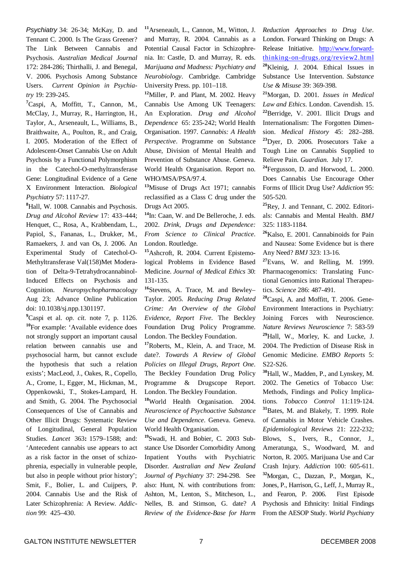*Psychiatry* 34: 26-34; McKay, D. and Tennant C. 2000. Is The Grass Greener? The Link Between Cannabis and Psychosis. *Australian Medical Journal* 172: 284-286; Thirthalli, J. and Benegal, V. 2006. Psychosis Among Substance Users. *Current Opinion in Psychiatry* 19: 239-245.

**<sup>7</sup>**Caspi, A, Moffitt, T., Cannon, M., McClay, J., Murray, R., Harrington, H., Taylor, A., Arseneault, L., Williams, B., Braithwaite, A., Poulton, R., and Craig, I. 2005. Moderation of the Effect of Adolescent-Onset Cannabis Use on Adult Psychosis by a Functional Polymorphism in the Catechol-O-methyltransferase Gene: Longitudinal Evidence of a Gene X Environment Interaction. *Biological Psychiatry* 57: 1117-27.

**<sup>8</sup>**Hall, W. 1008. Cannabis and Psychosis. *Drug and Alcohol Review* 17: 433–444; Henquet, C., Rosa, A., Krabbendam, L., Papiol, S., Fananas, L., Drukker, M., Ramaekers, J. and van Os, J. 2006. An Experimental Study of Catechol-O-Methyltransferase Val(158)Met Moderation of Delta-9-Tetrahydrocannabinol-Induced Effects on Psychosis and Cognition. *Neuropsychopharmacology* Aug 23; Advance Online Publication doi: 10.1038/sj.npp.1301197.

**<sup>9</sup>**Caspi et al. *op. cit.* note 7, p. 1126. **10** For example: 'Available evidence does not strongly support an important causal relation between cannabis use and psychosocial harm, but cannot exclude the hypothesis that such a relation exists'; MacLeod, J., Oakes, R., Copello, A., Crome, I., Egger, M., Hickman, M., Oppenkowski, T., Stokes-Lampard, H. and Smith, G. 2004. The Psychosocial Consequences of Use of Cannabis and Other Illicit Drugs: Systematic Review of Longitudinal, General Population Studies. *Lancet* 363**:** 1579–1588; and: 'Antecedent cannabis use appears to act as a risk factor in the onset of schizophrenia, especially in vulnerable people, but also in people without prior history'; Smit, F., Bolier, L. and Cuijpers, P. 2004. Cannabis Use and the Risk of Later Schizophrenia: A Review. *Addiction* 99: 425–430.

**<sup>11</sup>**Arseneault, L., Cannon, M., Witton, J. and Murray, R. 2004. Cannabis as a Potential Causal Factor in Schizophrenia. In: Castle, D. and Murray, R. eds. *Marijuana and Madness: Psychiatry and Neurobiology*. Cambridge. Cambridge University Press. pp. 101–118.

**<sup>12</sup>**Miller, P. and Plant, M. 2002. Heavy Cannabis Use Among UK Teenagers: An Exploration. *Drug and Alcohol Dependence* 65: 235-242; World Health Organisation. 1997. *Cannabis: A Health Perspective*. Programme on Substance Abuse, Division of Mental Health and Prevention of Substance Abuse. Geneva. World Health Organisation. Report no. WHO/MSA/PSA/97.4.

**<sup>13</sup>**Misuse of Drugs Act 1971; cannabis reclassified as a Class C drug under the Drugs Act 2005.

**14** In: Caan, W. and De Belleroche, J. eds. 2002. *Drink, Drugs and Dependence: From Science to Clinical Practice*. London. Routledge.

**<sup>15</sup>**Ashcroft, R. 2004. Current Epistemological Problems in Evidence Based Medicine. *Journal of Medical Ethics* 30: 131-135.

**16** Stevens, A. Trace, M. and Bewley– Taylor. 2005. *Reducing Drug Related Crime: An Overview of the Global Evidence, Report Five*. The Beckley Foundation Drug Policy Programme. London. The Beckley Foundation.

**<sup>17</sup>**Roberts, M., Klein, A. and Trace, M. date?. *Towards A Review of Global Policies on Illegal Drugs, Report One*. The Beckley Foundation Drug Policy Programme & Drugscope Report. London. The Beckley Foundation.

**<sup>18</sup>**World Health Organisation. 2004. *Neuroscience of Psychoactive Substance Use and Dependence*. Geneva. Geneva. World Health Organisation.

**19** Swadi, H. and Bobier, C. 2003 Substance Use Disorder Comorbidity Among Inpatient Youths with Psychiatric Disorder. *Australian and New Zealand Journal of Psychiatry* 37: 294-298. See also: Hunt, N. with contributions from: Ashton, M., Lenton, S., Mitcheson, L., Nelles, B. and Stimson, G. date? *A Review of the Evidence-Base for Harm* *Reduction Approaches to Drug Use*. London. Forward Thinking on Drugs: A Release Initiative. http://www.forwardthinking-on-drugs.org/review2.html **<sup>20</sup>**Kleinig, J. 2004. Ethical Issues in Substance Use Intervention. *Substance Use & Misuse* 39: 369-398.

**<sup>21</sup>**Morgan, D. 2001. *Issues in Medical Law and Ethics*. London. Cavendish. 15. **<sup>22</sup>**Berridge, V. 2001. Illicit Drugs and Internationalism: The Forgotten Dimension. *Medical History* 45: 282–288. **<sup>23</sup>**Dyer, D. 2006. Prosecutors Take a Tough Line on Cannabis Supplied to Relieve Pain. *Guardian*. July 17.

**24** Fergusson, D. and Horwood, L. 2000. Does Cannabis Use Encourage Other Forms of Illicit Drug Use? *Addiction* 95: 505-520.

**<sup>25</sup>**Rey, J. and Tennant, C. 2002. Editorials: Cannabis and Mental Health. *BMJ* 325: 1183-1184.

**<sup>26</sup>**Kalso, E. 2001. Cannabinoids for Pain and Nausea: Some Evidence but is there Any Need? *BMJ* 323: 13-16.

**<sup>27</sup>**Evans, W. and Relling, M. 1999. Pharmacogenomics: Translating Functional Genomics into Rational Therapeutics. *Science* 286: 487-491.

**<sup>28</sup>**Caspi, A. and Moffitt, T. 2006. Gene-Environment Interactions in Psychiatry: Joining Forces with Neuroscience. *Nature Reviews Neuroscience* 7: 583-59 **<sup>29</sup>**Hall, W., Morley, K. and Lucke, J. 2004. The Prediction of Disease Risk in Genomic Medicine. *EMBO Reports* 5: S22-S26.

**<sup>30</sup>**Hall, W., Madden, P., and Lynskey, M. 2002. The Genetics of Tobacco Use: Methods, Findings and Policy Implications. *Tobacco Control* 11:119-124. **<sup>31</sup>**Bates, M. and Blakely, T. 1999. Role of Cannabis in Motor Vehicle Crashes. *Epidemiological Reviews* 21: 222-232; Blows, S., Ivers, R., Connor, J., Ameratunga, S., Woodward, M. and Norton, R. 2005. Marijuana Use and Car Crash Injury. *Addiction* 100: 605-611. **<sup>32</sup>**Morgan, C., Dazzan, P., Morgan, K., Jones, P., Harrison, G., Leff, J., Murray R., and Fearon, P. 2006. First Episode Psychosis and Ethnicity: Initial Findings From the AESOP Study. *World Psychiatry*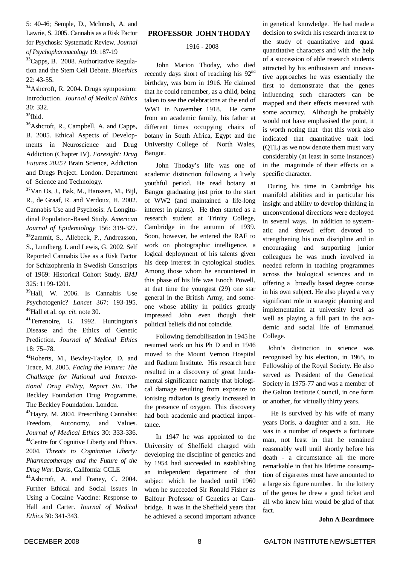5: 40-46; Semple, D., McIntosh, A. and Lawrie, S. 2005. Cannabis as a Risk Factor for Psychosis: Systematic Review. *Journal of Psychopharmacology* 19: 187-19

**<sup>33</sup>**Capps, B. 2008. Authoritative Regulation and the Stem Cell Debate. *Bioethics* 22: 43-55.

**<sup>34</sup>**Ashcroft, R. 2004. Drugs symposium: Introduction. *Journal of Medical Ethics* 30: 332.

**35** Ibid.

**<sup>36</sup>**Ashcroft, R., Campbell, A. and Capps, B. 2005. Ethical Aspects of Developments in Neuroscience and Drug Addiction (Chapter IV). *Foresight: Drug Futures 2025?* Brain Science, Addiction and Drugs Project. London. Department of Science and Technology.

**<sup>37</sup>**Van Os, J., Bak, M., Hanssen, M., Bijl, R., de Graaf, R. and Verdoux, H. 2002. Cannabis Use and Psychosis: A Longitudinal Population-Based Study. *American Journal of Epidemiology* 156: 319-327. **<sup>38</sup>**Zammit, S., Allebeck, P., Andreasson, S., Lundberg, I. and Lewis, G. 2002. Self Reported Cannabis Use as a Risk Factor for Schizophrenia in Swedish Conscripts of 1969: Historical Cohort Study. *BMJ* 325: 1199-1201.

**<sup>39</sup>**Hall, W. 2006. Is Cannabis Use Psychotogenic? *Lancet* 367: 193-195. **<sup>40</sup>**Hall et al. *op. cit.* note 30.

**<sup>41</sup>**Terrenoire, G. 1992. Huntington's Disease and the Ethics of Genetic Prediction. *Journal of Medical Ethics* 18: 75–78.

**<sup>42</sup>**Roberts, M., Bewley-Taylor, D. and Trace, M. 2005. *Facing the Future: The Challenge for National and International Drug Policy, Report Six*. The Beckley Foundation Drug Programme. The Beckley Foundation. London.

**<sup>43</sup>**Hayry, M. 2004. Prescribing Cannabis: Freedom, Autonomy, and Values. *Journal of Medical Ethics* 30: 333-336. **<sup>44</sup>**Centre for Cognitive Liberty and Ethics. 2004. *Threats to Cognitative Liberty: Pharmacotherapy and the Future of the Drug War*. Davis, California: CCLE

**<sup>44</sup>**Ashcroft, A. and Franey, C. 2004. Further Ethical and Social Issues in Using a Cocaine Vaccine: Response to Hall and Carter. *Journal of Medical Ethics* 30: 341-343.

### **PROFESSOR JOHN THODAY**

#### 1916 - 2008

John Marion Thoday, who died recently days short of reaching his 92<sup>nd</sup> birthday, was born in 1916. He claimed that he could remember, as a child, being taken to see the celebrations at the end of WW1 in November 1918. He came from an academic family, his father at different times occupying chairs of botany in South Africa, Egypt and the University College of North Wales, Bangor.

John Thoday's life was one of academic distinction following a lively youthful period. He read botany at Bangor graduating just prior to the start of WW2 (and maintained a life-long interest in plants). He then started as a research student at Trinity College, Cambridge in the autumn of 1939. Soon, however, he entered the RAF to work on photographic intelligence, a logical deployment of his talents given his deep interest in cytological studies. Among those whom he encountered in this phase of his life was Enoch Powell, at that time the youngest (29) one star general in the British Army, and someone whose ability in politics greatly impressed John even though their political beliefs did not coincide.

Following demobilisation in 1945 he resumed work on his Ph D and in 1946 moved to the Mount Vernon Hospital and Radium Institute. His research here resulted in a discovery of great fundamental significance namely that biological damage resulting from exposure to ionising radiation is greatly increased in the presence of oxygen. This discovery had both academic and practical importance.

In 1947 he was appointed to the University of Sheffield charged with developing the discipline of genetics and by 1954 had succeeded in establishing an independent department of that subject which he headed until 1960 when he succeeded Sir Ronald Fisher as Balfour Professor of Genetics at Cambridge. It was in the Sheffield years that he achieved a second important advance

in genetical knowledge. He had made a decision to switch his research interest to the study of quantitative and quasi quantitative characters and with the help of a succession of able research students attracted by his enthusiasm and innovative approaches he was essentially the first to demonstrate that the genes influencing such characters can be mapped and their effects measured with some accuracy. Although he probably would not have emphasised the point, it is worth noting that that this work also indicated that quantitative trait loci (QTL) as we now denote them must vary considerably (at least in some instances) in the magnitude of their effects on a specific character.

During his time in Cambridge his manifold abilities and in particular his insight and ability to develop thinking in unconventional directions were deployed in several ways. In addition to systematic and shrewd effort devoted to strengthening his own discipline and in encouraging and supporting junior colleagues he was much involved in needed reform in teaching programmes across the biological sciences and in offering a broadly based degree course in his own subject. He also played a very significant role in strategic planning and implementation at university level as well as playing a full part in the academic and social life of Emmanuel College.

John's distinction in science was recognised by his election, in 1965, to Fellowship of the Royal Society. He also served as President of the Genetical Society in 1975-77 and was a member of the Galton Institute Council, in one form or another, for virtually thirty years.

He is survived by his wife of many years Doris, a daughter and a son. He was in a number of respects a fortunate man, not least in that he remained reasonably well until shortly before his death - a circumstance all the more remarkable in that his lifetime consumption of cigarettes must have amounted to a large six figure number. In the lottery of the genes he drew a good ticket and all who knew him would be glad of that fact.

#### **John A Beardmore**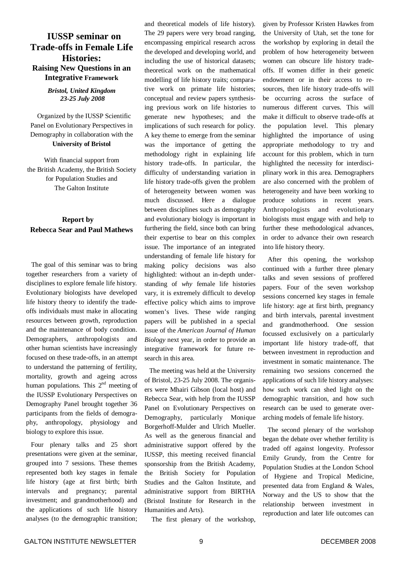# **IUSSP seminar on Trade-offs in Female Life Histories: Raising New Questions in an Integrative Framework**

### *Bristol, United Kingdom 23-25 July 2008*

Organized by the IUSSP Scientific Panel on Evolutionary Perspectives in Demography in collaboration with the **University of Bristol**

With financial support from the British Academy, the British Society for Population Studies and The Galton Institute

# **Report by Rebecca Sear and Paul Mathews**

The goal of this seminar was to bring together researchers from a variety of disciplines to explore female life history. Evolutionary biologists have developed life history theory to identify the tradeoffs individuals must make in allocating resources between growth, reproduction and the maintenance of body condition. Demographers, anthropologists and other human scientists have increasingly focused on these trade-offs, in an attempt to understand the patterning of fertility, mortality, growth and ageing across human populations. This  $2<sup>nd</sup>$  meeting of the IUSSP Evolutionary Perspectives on Demography Panel brought together 36 participants from the fields of demography, anthropology, physiology and biology to explore this issue.

Four plenary talks and 25 short presentations were given at the seminar, grouped into 7 sessions. These themes represented both key stages in female life history (age at first birth; birth intervals and pregnancy; parental investment; and grandmotherhood) and the applications of such life history analyses (to the demographic transition;

and theoretical models of life history). The 29 papers were very broad ranging, encompassing empirical research across the developed and developing world, and including the use of historical datasets; theoretical work on the mathematical modelling of life history traits; comparative work on primate life histories; conceptual and review papers synthesising previous work on life histories to generate new hypotheses; and the implications of such research for policy. A key theme to emerge from the seminar was the importance of getting the methodology right in explaining life history trade-offs. In particular, the difficulty of understanding variation in life history trade-offs given the problem of heterogeneity between women was much discussed. Here a dialogue between disciplines such as demography and evolutionary biology is important in furthering the field, since both can bring their expertise to bear on this complex issue. The importance of an integrated understanding of female life history for making policy decisions was also highlighted: without an in-depth understanding of *why* female life histories vary, it is extremely difficult to develop effective policy which aims to improve women's lives. These wide ranging papers will be published in a special issue of the *American Journal of Human Biology* next year, in order to provide an integrative framework for future research in this area.

The meeting was held at the University of Bristol, 23-25 July 2008. The organisers were Mhairi Gibson (local host) and Rebecca Sear, with help from the IUSSP Panel on Evolutionary Perspectives on Demography, particularly Monique Borgerhoff-Mulder and Ulrich Mueller. As well as the generous financial and administrative support offered by the IUSSP, this meeting received financial sponsorship from the British Academy, the British Society for Population Studies and the Galton Institute, and administrative support from BIRTHA (Bristol Institute for Research in the Humanities and Arts).

given by Professor Kristen Hawkes from the University of Utah, set the tone for the workshop by exploring in detail the problem of how heterogeneity between women can obscure life history tradeoffs. If women differ in their genetic endowment or in their access to resources, then life history trade-offs will be occurring across the surface of numerous different curves. This will make it difficult to observe trade-offs at the population level. This plenary highlighted the importance of using appropriate methodology to try and account for this problem, which in turn highlighted the necessity for interdisciplinary work in this area. Demographers are also concerned with the problem of heterogeneity and have been working to produce solutions in recent years. Anthropologists and evolutionary biologists must engage with and help to further these methodological advances, in order to advance their own research into life history theory.

After this opening, the workshop continued with a further three plenary talks and seven sessions of proffered papers. Four of the seven workshop sessions concerned key stages in female life history: age at first birth, pregnancy and birth intervals, parental investment and grandmotherhood. One session focussed exclusively on a particularly important life history trade-off, that between investment in reproduction and investment in somatic maintenance. The remaining two sessions concerned the applications of such life history analyses: how such work can shed light on the demographic transition, and how such research can be used to generate overarching models of female life history.

The second plenary of the workshop began the debate over whether fertility is traded off against longevity. Professor Emily Grundy, from the Centre for Population Studies at the London School of Hygiene and Tropical Medicine, presented data from England & Wales, Norway and the US to show that the relationship between investment in reproduction and later life outcomes can

The first plenary of the workshop,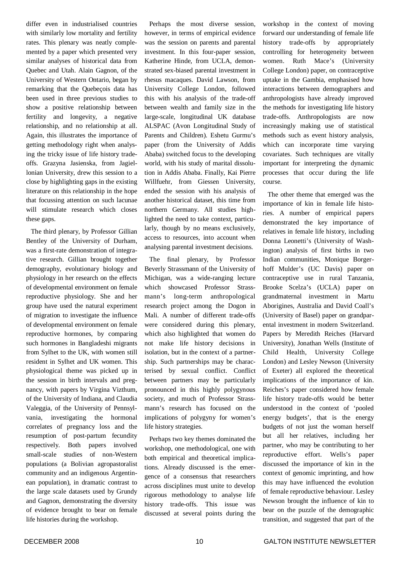differ even in industrialised countries with similarly low mortality and fertility rates. This plenary was neatly complemented by a paper which presented very similar analyses of historical data from Quebec and Utah. Alain Gagnon, of the University of Western Ontario, began by remarking that the Quebeçois data has been used in three previous studies to show a positive relationship between fertility and longevity, a negative relationship, and no relationship at all. Again, this illustrates the importance of getting methodology right when analysing the tricky issue of life history tradeoffs. Grazyna Jasienska, from Jagiellonian University, drew this session to a close by highlighting gaps in the existing literature on this relationship in the hope that focussing attention on such lacunae will stimulate research which closes these gaps.

The third plenary, by Professor Gillian Bentley of the University of Durham, was a first-rate demonstration of integrative research. Gillian brought together demography, evolutionary biology and physiology in her research on the effects of developmental environment on female reproductive physiology. She and her group have used the natural experiment of migration to investigate the influence of developmental environment on female reproductive hormones, by comparing such hormones in Bangladeshi migrants from Sylhet to the UK, with women still resident in Sylhet and UK women. This physiological theme was picked up in the session in birth intervals and pregnancy, with papers by Virgina Vizthum, of the University of Indiana, and Claudia Valeggia, of the University of Pennsylvania, investigating the hormonal correlates of pregnancy loss and the resumption of post-partum fecundity respectively. Both papers involved small-scale studies of non-Western populations (a Bolivian agropastoralist community and an indigenous Argentinean population), in dramatic contrast to the large scale datasets used by Grundy and Gagnon, demonstrating the diversity of evidence brought to bear on female life histories during the workshop.

Perhaps the most diverse session, however, in terms of empirical evidence was the session on parents and parental investment. In this four-paper session, Katherine Hinde, from UCLA, demonstrated sex-biased parental investment in rhesus macaques. David Lawson, from University College London, followed this with his analysis of the trade-off between wealth and family size in the large-scale, longitudinal UK database ALSPAC (Avon Longitudinal Study of Parents and Children). Eshetu Gurmu's paper (from the University of Addis Ababa) switched focus to the developing world, with his study of marital dissolution in Addis Ababa. Finally, Kai Pierre Willfuehr, from Giessen University, ended the session with his analysis of another historical dataset, this time from northern Germany. All studies highlighted the need to take context, particularly, though by no means exclusively, access to resources, into account when analysing parental investment decisions.

The final plenary, by Professor Beverly Strassmann of the University of Michigan, was a wide-ranging lecture which showcased Professor Strassmann's long-term anthropological research project among the Dogon in Mali. A number of different trade-offs were considered during this plenary, which also highlighted that women do not make life history decisions in isolation, but in the context of a partnership. Such partnerships may be characterised by sexual conflict. Conflict between partners may be particularly pronounced in this highly polygynous society, and much of Professor Strassmann's research has focused on the implications of polygyny for women's life history strategies.

Perhaps two key themes dominated the workshop, one methodological, one with both empirical and theoretical implications. Already discussed is the emergence of a consensus that researchers across disciplines must unite to develop rigorous methodology to analyse life history trade-offs. This issue was discussed at several points during the workshop in the context of moving forward our understanding of female life history trade-offs by appropriately controlling for heterogeneity between women. Ruth Mace's (University College London) paper, on contraceptive uptake in the Gambia, emphasised how interactions between demographers and anthropologists have already improved the methods for investigating life history trade-offs. Anthropologists are now increasingly making use of statistical methods such as event history analysis, which can incorporate time varying covariates. Such techniques are vitally important for interpreting the dynamic processes that occur during the life course.

The other theme that emerged was the importance of kin in female life histories. A number of empirical papers demonstrated the key importance of relatives in female life history, including Donna Leonetti's (University of Washington) analysis of first births in two Indian communities, Monique Borgerhoff Mulder's (UC Davis) paper on contraceptive use in rural Tanzania, Brooke Scelza's (UCLA) paper on grandmaternal investment in Martu Aborigines, Australia and David Coall's (University of Basel) paper on grandparental investment in modern Switzerland. Papers by Meredith Reiches (Harvard University), Jonathan Wells (Institute of Child Health, University College London) and Lesley Newson (University of Exeter) all explored the theoretical implications of the importance of kin. Reiches's paper considered how female life history trade-offs would be better understood in the context of 'pooled energy budgets', that is the energy budgets of not just the woman herself but all her relatives, including her partner, who may be contributing to her reproductive effort. Wells's paper discussed the importance of kin in the context of genomic imprinting, and how this may have influenced the evolution of female reproductive behaviour. Lesley Newson brought the influence of kin to bear on the puzzle of the demographic transition, and suggested that part of the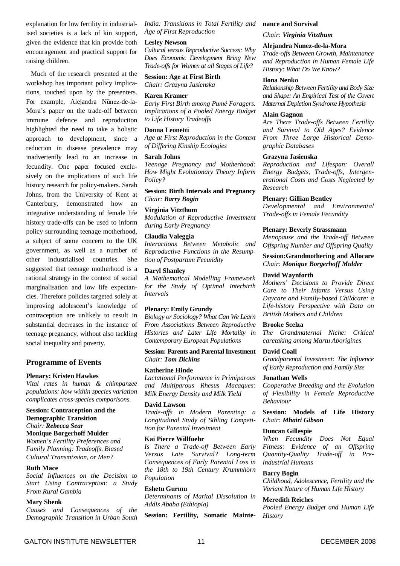explanation for low fertility in industrialised societies is a lack of kin support, given the evidence that kin provide both encouragement and practical support for raising children.

Much of the research presented at the workshop has important policy implications, touched upon by the presenters. For example, Alejandra Nũnez-de-la-Mora's paper on the trade-off between immune defence and reproduction highlighted the need to take a holistic approach to development, since a reduction in disease prevalence may inadvertently lead to an increase in fecundity. One paper focused exclusively on the implications of such life history research for policy-makers. Sarah Johns, from the University of Kent at Canterbury, demonstrated how integrative understanding of female life history trade-offs can be used to inform policy surrounding teenage motherhood, a subject of some concern to the UK government, as well as a number of other industrialised countries. She suggested that teenage motherhood is a rational strategy in the context of social marginalisation and low life expectancies. Therefore policies targeted solely at improving adolescent's knowledge of contraception are unlikely to result in substantial decreases in the instance of teenage pregnancy, without also tackling social inequality and poverty.

#### **Programme of Events**

#### **Plenary: Kristen Hawkes**

*Vital rates in human & chimpanzee populations: how within species variation complicates cross-species comparisons.*

#### **Session: Contraception and the Demographic Transition** *Chair: Rebecca Sear*

# **Monique Borgerhoff Mulder**

*Women's Fertility Preferences and Family Planning: Tradeoffs, Biased Cultural Transmission, or Men?*

#### **Ruth Mace**

*Social Influences on the Decision to Start Using Contraception: a Study From Rural Gambia*

#### **Mary Shenk**

*Causes and Consequences of the Demographic Transition in Urban South* *India: Transitions in Total Fertility and Age of First Reproduction*

### **Lesley Newson**

*Cultural versus Reproductive Success: Why Does Economic Development Bring New Trade-of s for Women at all Stages of Life?*

**Session: Age at First Birth** *Chair: Grazyna Jasienska*

#### **Karen Kramer**

*Early First Birth among Pumé Foragers. Implications of a Pooled Energy Budget to Life History Tradeoffs*

#### **Donna Leonetti**

*Age at First Reproduction in the Context of Differing Kinship Ecologies*

#### **Sarah Johns**

*Teenage Pregnancy and Motherhood: How Might Evolutionary Theory Inform Policy?*

#### **Session: Birth Intervals and Pregnancy** *Chair: Barry Bogin*

#### **Virginia Vitzthum**

*Modulation of Reproductive Investment during Early Pregnancy*

# **Claudia Valeggia**

*Interactions Between Metabolic and Reproductive Functions in the Resumption of Postpartum Fecundity*

**Daryl Shanley**

*A Mathematical Modelling Framework for the Study of Optimal Interbirth Intervals*

#### **Plenary: Emily Grundy**

*Biology or Sociology? What Can We Learn From Associations Between Reproductive Histories and Later Life Mortality in Contemporary European Populations*

**Session: Parents and Parental Investment** *Chair: Tom Dickins*

#### **Katherine Hinde**

*Lactational Performance in Primiparous and Multiparous Rhesus Macaques: Milk Energy Density and Milk Yield*

#### **David Lawson**

*Trade-offs in Modern Parenting: a Longitudinal Study of Sibling Competition for Parental Investment*

#### **Kai Pierre Willfuehr**

*Is There a Trade-off Between Early Versus Late Survival? Long-term Consequences of Early Parental Loss in the 18th to 19th Century Krummhörn Population*

#### **Eshetu Gurmu**

*Determinants of Marital Dissolution in Addis Ababa (Ethiopia)*

**Session: Fertility, Somatic Mainte-**

#### **nance and Survival**

*Chair: Virginia Vitzthum*

#### **Alejandra Nunez-de-la-Mora**

*Trade-offs Between Growth, Maintenance and Reproduction in Human Female Life History: What Do We Know?*

#### **Ilona Nenko**

*Relationship Between Fertility and Body Size and Shape: An Empirical Test of the Covert Maternal Depletion Syndrome Hypothesis*

#### **Alain Gagnon**

*Are There Trade-offs Between Fertility and Survival to Old Ages? Evidence From Three Large Historical Demographic Databases*

#### **Grazyna Jasienska**

*Reproduction and Lifespan: Overall Energy Budgets, Trade-offs, Intergenerational Costs and Costs Neglected by Research*

#### **Plenary: Gillian Bentley**

*Developmental and Environmental Trade-offs in Female Fecundity*

#### **Plenary: Beverly Strassmann**

*Menopause and the Trade-off Between Offspring Number and Offspring Quality*

**Session:Grandmothering and Allocare** *Chair: Monique Borgerhoff Mulder*

#### **David Waynforth**

*Mothers' Decisions to Provide Direct Care to Their Infants Versus Using Daycare and Family-based Childcare: a Life-history Perspective with Data on British Mothers and Children*

#### **Brooke Scelza**

*The Grandmaternal Niche: Critical caretaking among Martu Aborigines*

#### **David Coall**

*Grandparental Investment: The Influence of Early Reproduction and Family Size*

#### **Jonathan Wells**

*Cooperative Breeding and the Evolution of Flexibility in Female Reproductive Behaviour*

**Session: Models of Life History** *Chair: Mhairi Gibson*

#### **Duncan Gillespie**

*When Fecundity Does Not Equal Fitness: Evidence of an Offspring Quantity-Quality Trade-off in Preindustrial Humans*

#### **Barry Bogin**

*Childhood, Adolescence, Fertility and the Variant Nature of Human Life History*

#### **Meredith Reiches**

*Pooled Energy Budget and Human Life History*